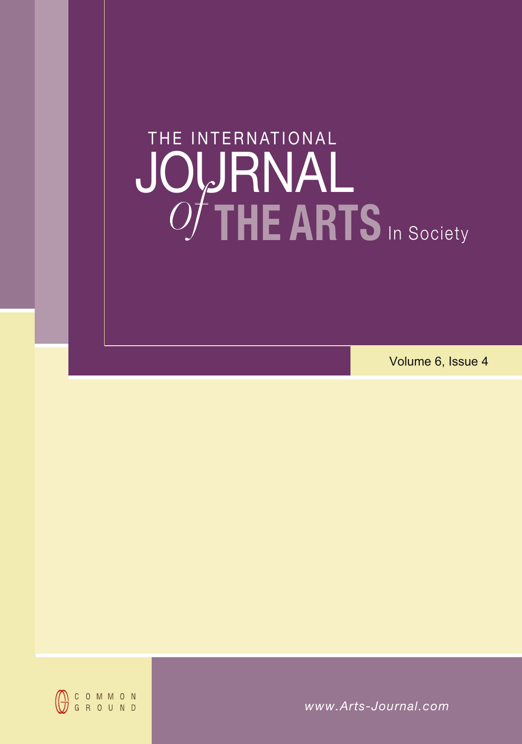# **THE ARTS** In Society JOURNAL THE INTERNATIONAL **THE ARTS** In Society **JOURNAL<br>***Of* **THE ARTS** In Social Wolume 6.<br>Wolume 6.<br>WWW.Arts-Journal.com *of* **THE ARTS** In Society JOURNAL *of*

Volume 6, Issue 4



*www.Arts-Journal.com www.Arts-Journal.com www.Arts-Journal.com*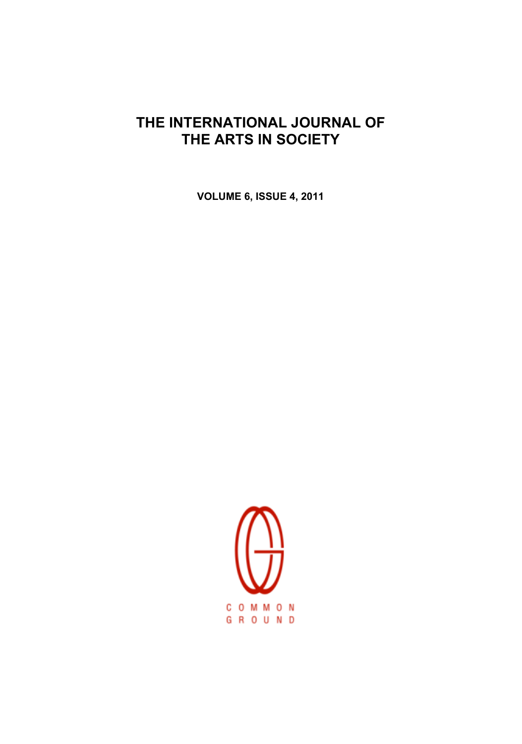# THE INTERNATIONAL JOURNAL OF THE ARTS IN SOCIETY

VOLUME 6, ISSUE 4, 2011

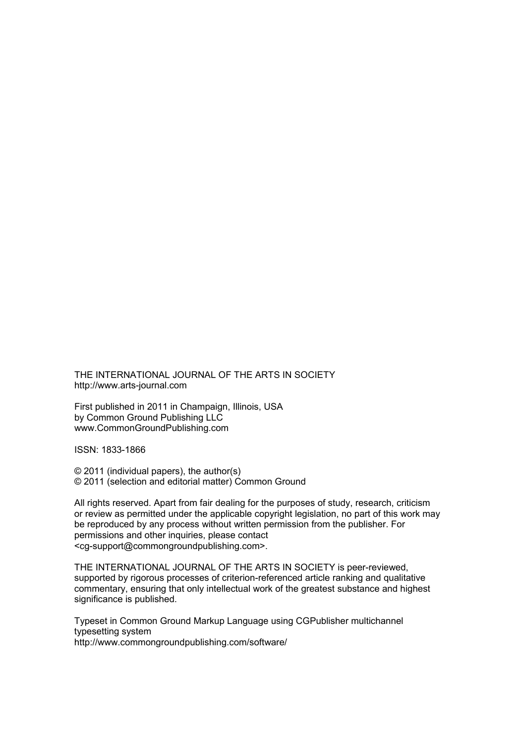THE INTERNATIONAL JOURNAL OF THE ARTS IN SOCIETY http://www.arts-journal.com

First published in 2011 in Champaign, Illinois, USA by Common Ground Publishing LLC www.CommonGroundPublishing.com

ISSN: 1833-1866

© 2011 (individual papers), the author(s) © 2011 (selection and editorial matter) Common Ground

All rights reserved. Apart from fair dealing for the purposes of study, research, criticism or review as permitted under the applicable copyright legislation, no part of this work may be reproduced by any process without written permission from the publisher. For permissions and other inquiries, please contact <cg-support@commongroundpublishing.com>.

THE INTERNATIONAL JOURNAL OF THE ARTS IN SOCIETY is peer-reviewed, supported by rigorous processes of criterion-referenced article ranking and qualitative commentary, ensuring that only intellectual work of the greatest substance and highest significance is published.

Typeset in Common Ground Markup Language using CGPublisher multichannel typesetting system http://www.commongroundpublishing.com/software/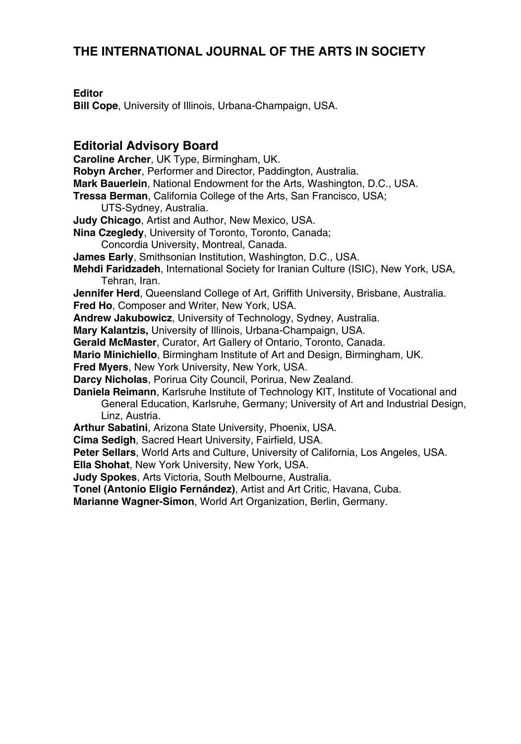# **THE INTERNATIONAL JOURNAL OF THE ARTS IN SOCIETY**

# **Editor**

**Bill Cope**, University of Illinois, Urbana-Champaign, USA.

# **Editorial Advisory Board**

**Caroline Archer**, UK Type, Birmingham, UK.

**Robyn Archer**, Performer and Director, Paddington, Australia.

- **Mark Bauerlein**, National Endowment for the Arts, Washington, D.C., USA.
- **Tressa Berman**, California College of the Arts, San Francisco, USA;
	- UTS-Sydney, Australia.
- **Judy Chicago**, Artist and Author, New Mexico, USA.
- **Nina Czegledy**, University of Toronto, Toronto, Canada;
	- Concordia University, Montreal, Canada.
- **James Early**, Smithsonian Institution, Washington, D.C., USA.
- **Mehdi Faridzadeh**, International Society for Iranian Culture (ISIC), New York, USA, Tehran, Iran.
- **Jennifer Herd**, Queensland College of Art, Griffith University, Brisbane, Australia. **Fred Ho**, Composer and Writer, New York, USA.

**Andrew Jakubowicz**, University of Technology, Sydney, Australia.

**Mary Kalantzis,** University of Illinois, Urbana-Champaign, USA.

**Gerald McMaster**, Curator, Art Gallery of Ontario, Toronto, Canada.

- **Mario Minichiello**, Birmingham Institute of Art and Design, Birmingham, UK.
- **Fred Myers**, New York University, New York, USA.

**Darcy Nicholas**, Porirua City Council, Porirua, New Zealand.

- **Daniela Reimann**, Karlsruhe Institute of Technology KIT, Institute of Vocational and General Education, Karlsruhe, Germany; University of Art and Industrial Design, Linz, Austria.
- **Arthur Sabatini**, Arizona State University, Phoenix, USA.
- **Cima Sedigh**, Sacred Heart University, Fairfield, USA.

**Peter Sellars**, World Arts and Culture, University of California, Los Angeles, USA.

**Ella Shohat**, New York University, New York, USA.

**Judy Spokes**, Arts Victoria, South Melbourne, Australia.

**Tonel (Antonio Eligio Fernández)**, Artist and Art Critic, Havana, Cuba.

**Marianne Wagner-Simon**, World Art Organization, Berlin, Germany.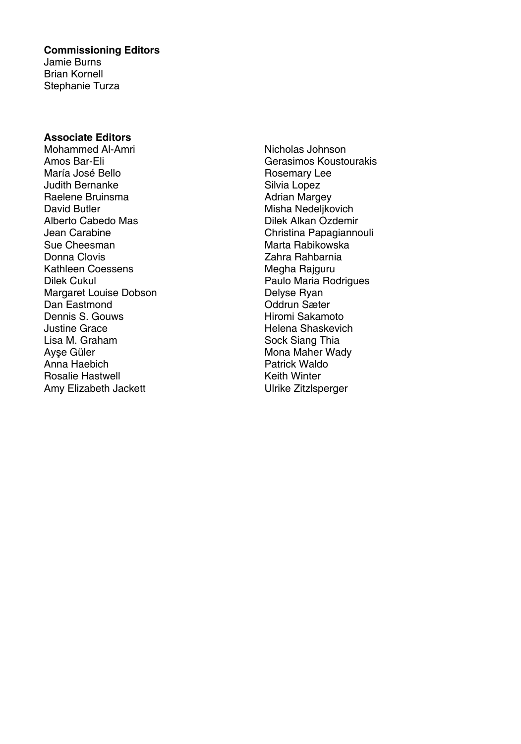## **Commissioning Editors**

Jamie Burns Brian Kornell Stephanie Turza

## **Associate Editors**

Mohammed Al-Amri Amos Bar-Eli María José Bello Judith Bernanke Raelene Bruinsma David Butler Alberto Cabedo Mas Jean Carabine Sue Cheesman Donna Clovis Kathleen Coessens Dilek Cukul Margaret Louise Dobson Dan Eastmond Dennis S. Gouws Justine Grace Lisa M. Graham Ayşe Güler Anna Haebich Rosalie Hastwell Amy Elizabeth Jackett

Nicholas Johnson Gerasimos Koustourakis Rosemary Lee Silvia Lopez Adrian Margey Misha Nedeljkovich Dilek Alkan Ozdemir Christina Papagiannouli Marta Rabikowska Zahra Rahbarnia Megha Rajguru Paulo Maria Rodrigues Delyse Ryan Oddrun Sæter Hiromi Sakamoto Helena Shaskevich Sock Siang Thia Mona Maher Wady Patrick Waldo Keith Winter Ulrike Zitzlsperger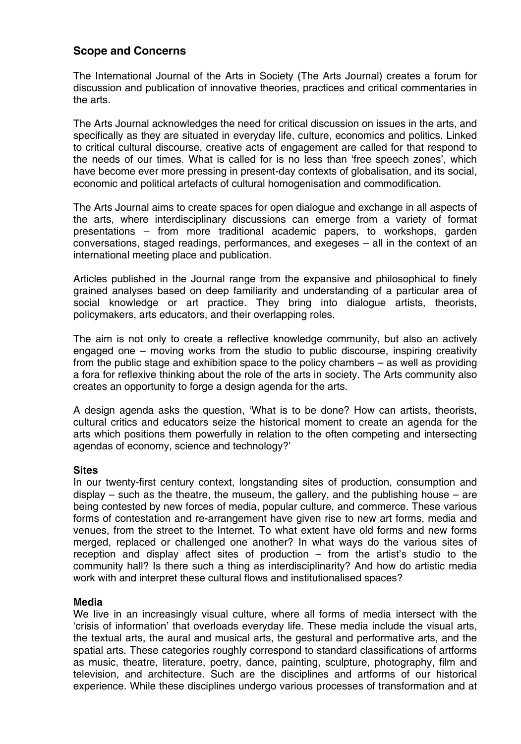## **Scope and Concerns**

The International Journal of the Arts in Society (The Arts Journal) creates a forum for discussion and publication of innovative theories, practices and critical commentaries in the arts.

The Arts Journal acknowledges the need for critical discussion on issues in the arts, and specifically as they are situated in everyday life, culture, economics and politics. Linked to critical cultural discourse, creative acts of engagement are called for that respond to the needs of our times. What is called for is no less than 'free speech zones', which have become ever more pressing in present-day contexts of globalisation, and its social, economic and political artefacts of cultural homogenisation and commodification.

The Arts Journal aims to create spaces for open dialogue and exchange in all aspects of the arts, where interdisciplinary discussions can emerge from a variety of format presentations – from more traditional academic papers, to workshops, garden conversations, staged readings, performances, and exegeses – all in the context of an international meeting place and publication.

Articles published in the Journal range from the expansive and philosophical to finely grained analyses based on deep familiarity and understanding of a particular area of social knowledge or art practice. They bring into dialogue artists, theorists, policymakers, arts educators, and their overlapping roles.

The aim is not only to create a reflective knowledge community, but also an actively engaged one – moving works from the studio to public discourse, inspiring creativity from the public stage and exhibition space to the policy chambers – as well as providing a fora for reflexive thinking about the role of the arts in society. The Arts community also creates an opportunity to forge a design agenda for the arts.

A design agenda asks the question, 'What is to be done? How can artists, theorists, cultural critics and educators seize the historical moment to create an agenda for the arts which positions them powerfully in relation to the often competing and intersecting agendas of economy, science and technology?'

## **Sites**

In our twenty-first century context, longstanding sites of production, consumption and display – such as the theatre, the museum, the gallery, and the publishing house – are being contested by new forces of media, popular culture, and commerce. These various forms of contestation and re-arrangement have given rise to new art forms, media and venues, from the street to the Internet. To what extent have old forms and new forms merged, replaced or challenged one another? In what ways do the various sites of reception and display affect sites of production – from the artist's studio to the community hall? Is there such a thing as interdisciplinarity? And how do artistic media work with and interpret these cultural flows and institutionalised spaces?

## **Media**

We live in an increasingly visual culture, where all forms of media intersect with the 'crisis of information' that overloads everyday life. These media include the visual arts, the textual arts, the aural and musical arts, the gestural and performative arts, and the spatial arts. These categories roughly correspond to standard classifications of artforms as music, theatre, literature, poetry, dance, painting, sculpture, photography, film and television, and architecture. Such are the disciplines and artforms of our historical experience. While these disciplines undergo various processes of transformation and at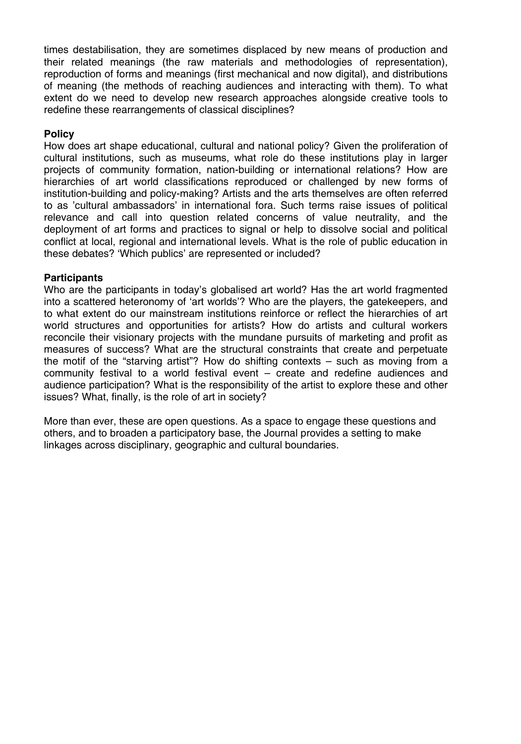times destabilisation, they are sometimes displaced by new means of production and their related meanings (the raw materials and methodologies of representation), reproduction of forms and meanings (first mechanical and now digital), and distributions of meaning (the methods of reaching audiences and interacting with them). To what extent do we need to develop new research approaches alongside creative tools to redefine these rearrangements of classical disciplines?

## **Policy**

How does art shape educational, cultural and national policy? Given the proliferation of cultural institutions, such as museums, what role do these institutions play in larger projects of community formation, nation-building or international relations? How are hierarchies of art world classifications reproduced or challenged by new forms of institution-building and policy-making? Artists and the arts themselves are often referred to as 'cultural ambassadors' in international fora. Such terms raise issues of political relevance and call into question related concerns of value neutrality, and the deployment of art forms and practices to signal or help to dissolve social and political conflict at local, regional and international levels. What is the role of public education in these debates? 'Which publics' are represented or included?

## **Participants**

Who are the participants in today's globalised art world? Has the art world fragmented into a scattered heteronomy of 'art worlds'? Who are the players, the gatekeepers, and to what extent do our mainstream institutions reinforce or reflect the hierarchies of art world structures and opportunities for artists? How do artists and cultural workers reconcile their visionary projects with the mundane pursuits of marketing and profit as measures of success? What are the structural constraints that create and perpetuate the motif of the "starving artist"? How do shifting contexts – such as moving from a community festival to a world festival event – create and redefine audiences and audience participation? What is the responsibility of the artist to explore these and other issues? What, finally, is the role of art in society?

More than ever, these are open questions. As a space to engage these questions and others, and to broaden a participatory base, the Journal provides a setting to make linkages across disciplinary, geographic and cultural boundaries.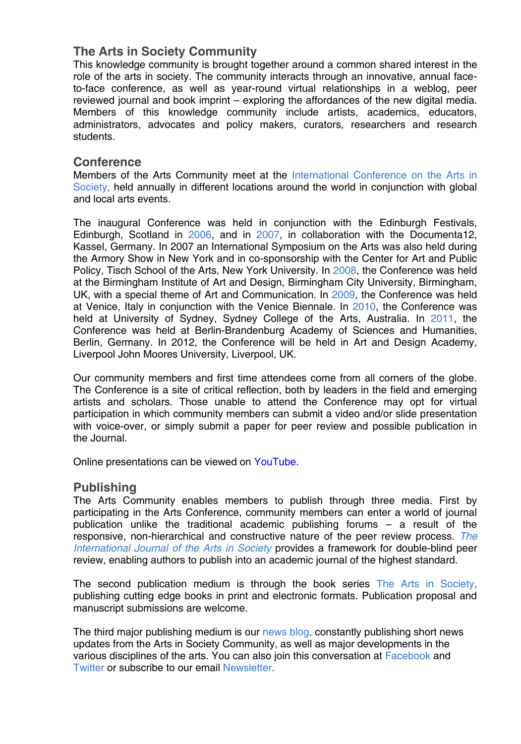# **The Arts in Society Community**

This knowledge community is brought together around a common shared interest in the role of the arts in society. The community interacts through an innovative, annual faceto-face conference, as well as year-round virtual relationships in a weblog, peer reviewed journal and book imprint – exploring the affordances of the new digital media. Members of this knowledge community include artists, academics, educators, administrators, advocates and policy makers, curators, researchers and research students.

# **Conference**

Members of the Arts Community meet at the [International Conference on the Arts in](http://www.arts-conference.com/)  [Society,](http://www.arts-conference.com/) held annually in different locations around the world in conjunction with global and local arts events.

The inaugural Conference was held in conjunction with the Edinburgh Festivals, Edinburgh, Scotland in [2006,](http://a06.cgpublisher.com/welcome.html) and in [2007,](http://a07.cgpublisher.com/welcome.html) in collaboration with the Documenta12, Kassel, Germany. In [2007](http://as7.cgpublisher.com/welcome.html) an International Symposium on the Arts was also held during the Armory Show in New York and in co-sponsorship with the Center for Art and Public Policy, Tisch School of the Arts, New York University. In [2008,](http://a08.cgpublisher.com/welcome.html) the Conference was held at the Birmingham Institute of Art and Design, Birmingham City University, Birmingham, UK, with a special theme of Art and Communication. In [2009,](http://2009.artsinsociety.com/) the Conference was held at Venice, Italy in conjunction with the Venice Biennale. In [2010,](http://2010.artsinsociety.com/) the Conference was held at University of Sydney, Sydney College of the Arts, Australia. In [2011,](http://2011.artsinsociety.com/) the Conference was held at Berlin-Brandenburg Academy of Sciences and Humanities, Berlin, Germany. In [2012,](http://artsinsociety.com/conference-2012/) the Conference will be held in Art and Design Academy, Liverpool John Moores University, Liverpool, UK.

Our community members and first time attendees come from all corners of the globe. The Conference is a site of critical reflection, both by leaders in the field and emerging artists and scholars. Those unable to attend the Conference may opt for virtual participation in which community members can submit a video and/or slide presentation with voice-over, or simply submit a paper for peer review and possible publication in the Journal.

Online presentations can be viewed on [YouTube.](http://artsinsociety.com/wp-content/plugins/youtube-uploader/action.php?action=list)

# **Publishing**

The Arts Community enables members to publish through three media. First by participating in the Arts Conference, community members can enter a world of journal publication unlike the traditional academic publishing forums – a result of the responsive, non-hierarchical and constructive nature of the peer review process. *[The](http://artsinsociety.com/journal/)  [International Journal of the Arts in Society](http://artsinsociety.com/journal/)* provides a framework for double-blind peer review, enabling authors to publish into an academic journal of the highest standard.

The second publication medium is through the book series [The Arts in Society,](http://artsinsociety.com/books/) publishing cutting edge books in print and electronic formats. Publication proposal and manuscript submissions are welcome.

The third major publishing medium is our [news blog,](http://artsinsociety.com/) constantly publishing short news updates from the Arts in Society Community, as well as major developments in the various disciplines of the arts. You can also join this conversation at [Facebook](http://www.facebook.com/pages/The-Arts-in-Society/108987015787127) and [Twitter](http://twitter.com/artsinsociety) or subscribe to our email [Newsletter.](http://artsinsociety.com/ideas/newsletter/)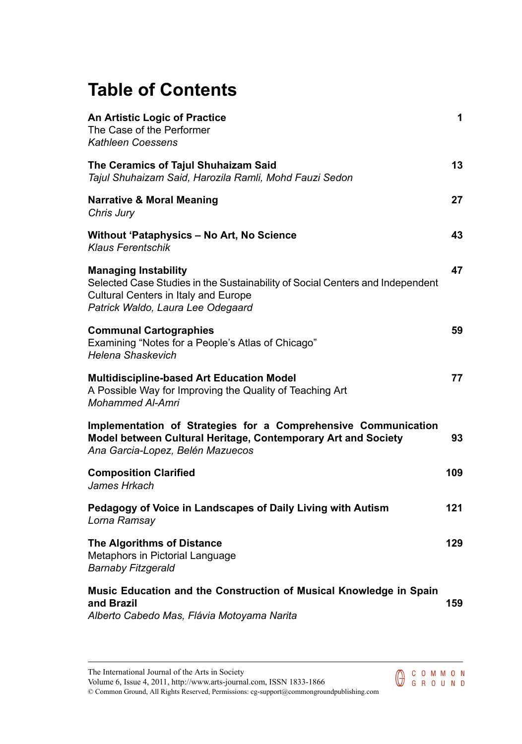# **Table of Contents**

| <b>An Artistic Logic of Practice</b><br>The Case of the Performer<br>Kathleen Coessens                                                                                                    | 1   |
|-------------------------------------------------------------------------------------------------------------------------------------------------------------------------------------------|-----|
| The Ceramics of Tajul Shuhaizam Said<br>Tajul Shuhaizam Said, Harozila Ramli, Mohd Fauzi Sedon                                                                                            | 13  |
| <b>Narrative &amp; Moral Meaning</b><br>Chris Jury                                                                                                                                        | 27  |
| Without 'Pataphysics – No Art, No Science<br>Klaus Ferentschik                                                                                                                            | 43  |
| <b>Managing Instability</b><br>Selected Case Studies in the Sustainability of Social Centers and Independent<br>Cultural Centers in Italy and Europe<br>Patrick Waldo, Laura Lee Odegaard | 47  |
| <b>Communal Cartographies</b><br>Examining "Notes for a People's Atlas of Chicago"<br>Helena Shaskevich                                                                                   | 59  |
| <b>Multidiscipline-based Art Education Model</b><br>A Possible Way for Improving the Quality of Teaching Art<br>Mohammed Al-Amri                                                          | 77  |
| Implementation of Strategies for a Comprehensive Communication<br>Model between Cultural Heritage, Contemporary Art and Society<br>Ana Garcia-Lopez, Belén Mazuecos                       | 93  |
| <b>Composition Clarified</b><br>James Hrkach                                                                                                                                              | 109 |
| Pedagogy of Voice in Landscapes of Daily Living with Autism<br>Lorna Ramsay                                                                                                               | 121 |
| <b>The Algorithms of Distance</b><br>Metaphors in Pictorial Language<br>Barnaby Fitzgerald                                                                                                | 129 |
| Music Education and the Construction of Musical Knowledge in Spain<br>and Brazil<br>Alberto Cabedo Mas, Flávia Motoyama Narita                                                            | 159 |

The International Journal of the Arts in Society Volume 6, Issue 4, 2011, http://www.arts-journal.com, ISSN 1833-1866

© Common Ground, All Rights Reserved, Permissions: cg-support@commongroundpublishing.com

COMMON<br>GROUND C O M M O N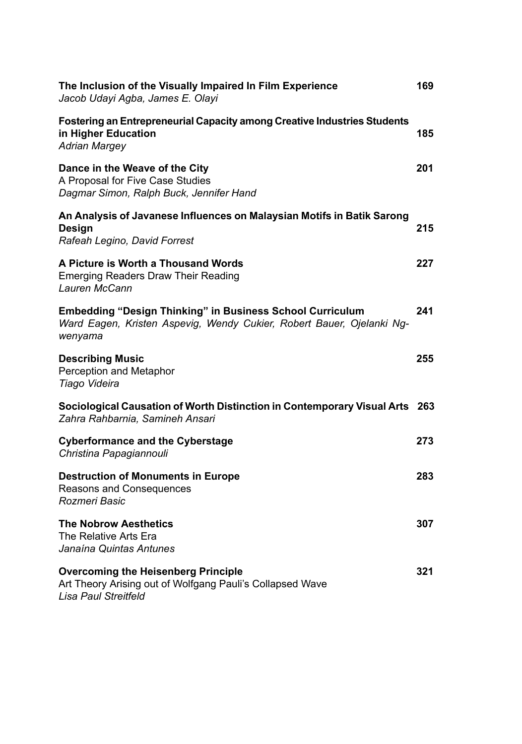| The Inclusion of the Visually Impaired In Film Experience<br>Jacob Udayi Agba, James E. Olayi                                                        | 169 |
|------------------------------------------------------------------------------------------------------------------------------------------------------|-----|
| <b>Fostering an Entrepreneurial Capacity among Creative Industries Students</b><br>in Higher Education<br><b>Adrian Margey</b>                       | 185 |
| Dance in the Weave of the City<br>A Proposal for Five Case Studies<br>Dagmar Simon, Ralph Buck, Jennifer Hand                                        | 201 |
| An Analysis of Javanese Influences on Malaysian Motifs in Batik Sarong<br>Design<br>Rafeah Legino, David Forrest                                     | 215 |
| A Picture is Worth a Thousand Words<br><b>Emerging Readers Draw Their Reading</b><br>Lauren McCann                                                   | 227 |
| <b>Embedding "Design Thinking" in Business School Curriculum</b><br>Ward Eagen, Kristen Aspevig, Wendy Cukier, Robert Bauer, Ojelanki Ng-<br>wenyama | 241 |
| <b>Describing Music</b><br>Perception and Metaphor<br>Tiago Videira                                                                                  | 255 |
| Sociological Causation of Worth Distinction in Contemporary Visual Arts 263<br>Zahra Rahbarnia, Samineh Ansari                                       |     |
| <b>Cyberformance and the Cyberstage</b><br>Christina Papagiannouli                                                                                   | 273 |
| <b>Destruction of Monuments in Europe</b><br>Reasons and Consequences<br>Rozmeri Basic                                                               | 283 |
| <b>The Nobrow Aesthetics</b><br>The Relative Arts Era<br>Janaína Quintas Antunes                                                                     | 307 |
| <b>Overcoming the Heisenberg Principle</b><br>Art Theory Arising out of Wolfgang Pauli's Collapsed Wave<br><b>Lisa Paul Streitfeld</b>               | 321 |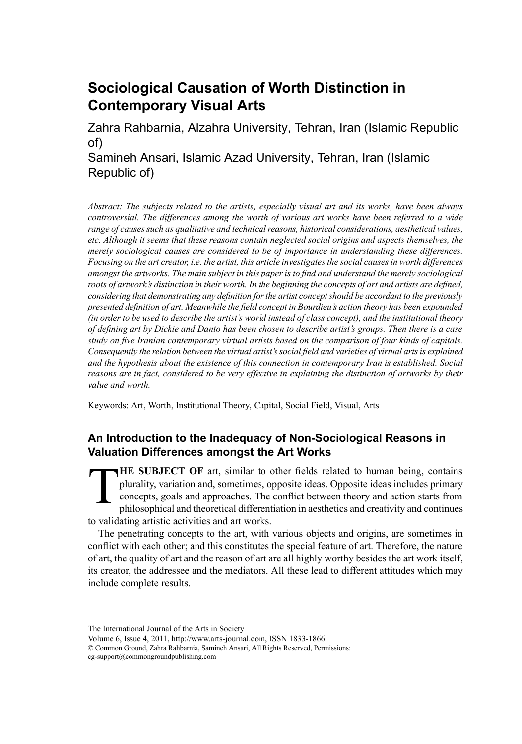# **Sociological Causation of Worth Distinction in Contemporary Visual Arts**

Zahra Rahbarnia, Alzahra University, Tehran, Iran (Islamic Republic of)

Samineh Ansari, Islamic Azad University, Tehran, Iran (Islamic Republic of)

*Abstract: The subjects related to the artists, especially visual art and its works, have been always controversial. The differences among the worth of various art works have been referred to a wide range of causessuch as qualitative and technicalreasons, historical considerations, aesthetical values, etc. Although it seems that these reasons contain neglected social origins and aspects themselves, the merely sociological causes are considered to be of importance in understanding these differences.* Focusing on the art creator, i.e. the artist, this article investigates the social causes in worth differences *amongst the artworks. The main subject in this paper is to find and understand the merely sociological* roots of artwork's distinction in their worth. In the beginning the concepts of art and artists are defined, *considering that demonstrating any definition forthe artist conceptshould be accordant to the previously presented definition of art. Meanwhile the field concept in Bourdieu's action theory has been expounded* (in order to be used to describe the artist's world instead of class concept), and the institutional theory of defining art by Dickie and Danto has been chosen to describe artist's groups. Then there is a case *study on five Iranian contemporary virtual artists based on the comparison of four kinds of capitals. Consequently the relation between the virtual artist'ssocial field and varieties of virtual artsis explained and the hypothesis about the existence of this connection in contemporary Iran is established. Social reasons are in fact, considered to be very effective in explaining the distinction of artworks by their value and worth.*

Keywords: Art, Worth, Institutional Theory, Capital, Social Field, Visual, Arts

# **An Introduction to the Inadequacy of Non-Sociological Reasons in Valuation Differences amongst the Art Works**

T **HE SUBJECT OF** art, similar to other fields related to human being, contains plurality, variation and, sometimes, opposite ideas. Opposite ideas includes primary concepts, goals and approaches. The conflict between theory and action starts from philosophical and theoretical differentiation in aesthetics and creativity and continues to validating artistic activities and art works.

The penetrating concepts to the art, with various objects and origins, are sometimes in conflict with each other; and this constitutes the special feature of art. Therefore, the nature of art, the quality of art and the reason of art are all highly worthy besides the art work itself, its creator, the addressee and the mediators. All these lead to different attitudes which may include complete results.

The International Journal of the Arts in Society

Volume 6, Issue 4, 2011, http://www.arts-journal.com, ISSN 1833-1866

<sup>©</sup> Common Ground, Zahra Rahbarnia, Samineh Ansari, All Rights Reserved, Permissions: cg-support@commongroundpublishing.com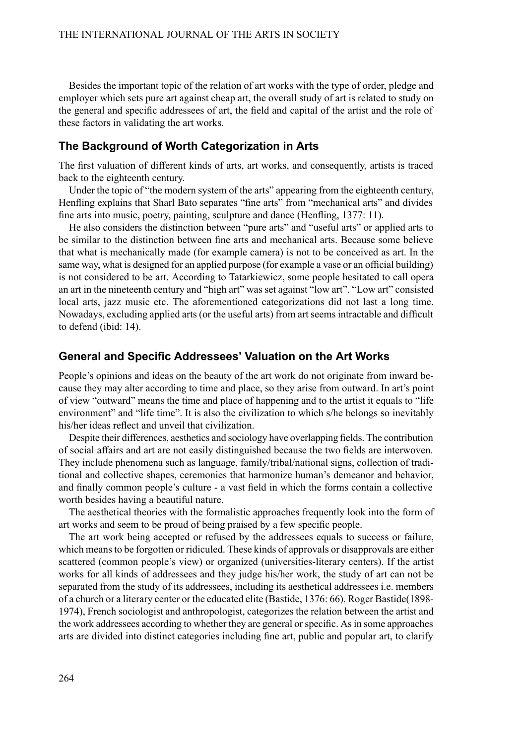Besides the important topic of the relation of art works with the type of order, pledge and employer which sets pure art against cheap art, the overall study of art is related to study on the general and specific addressees of art, the field and capital of the artist and the role of these factors in validating the art works.

### **The Background of Worth Categorization in Arts**

The first valuation of different kinds of arts, art works, and consequently, artists is traced back to the eighteenth century.

Under the topic of "the modern system of the arts" appearing from the eighteenth century, Henfling explains that Sharl Bato separates "fine arts" from "mechanical arts" and divides fine arts into music, poetry, painting, sculpture and dance (Henfling, 1377: 11).

He also considers the distinction between "pure arts" and "useful arts" or applied arts to be similar to the distinction between fine arts and mechanical arts. Because some believe that what is mechanically made (for example camera) is not to be conceived as art. In the same way, what is designed for an applied purpose (for example a vase or an official building) is not considered to be art. According to Tatarkiewicz, some people hesitated to call opera an art in the nineteenth century and "high art" was set against "low art". "Low art" consisted local arts, jazz music etc. The aforementioned categorizations did not last a long time. Nowadays, excluding applied arts (or the useful arts) from art seems intractable and difficult to defend (ibid: 14).

### **General and Specific Addressees' Valuation on the Art Works**

People's opinions and ideas on the beauty of the art work do not originate from inward because they may alter according to time and place, so they arise from outward. In art's point of view "outward" means the time and place of happening and to the artist it equals to "life environment" and "life time". It is also the civilization to which s/he belongs so inevitably his/her ideas reflect and unveil that civilization.

Despite their differences, aesthetics and sociology have overlapping fields. The contribution of social affairs and art are not easily distinguished because the two fields are interwoven. They include phenomena such as language, family/tribal/national signs, collection of traditional and collective shapes, ceremonies that harmonize human's demeanor and behavior, and finally common people's culture - a vast field in which the forms contain a collective worth besides having a beautiful nature.

The aesthetical theories with the formalistic approaches frequently look into the form of art works and seem to be proud of being praised by a few specific people.

The art work being accepted or refused by the addressees equals to success or failure, which meansto be forgotten or ridiculed. These kinds of approvals or disapprovals are either scattered (common people's view) or organized (universities-literary centers). If the artist works for all kinds of addressees and they judge his/her work, the study of art can not be separated from the study of its addressees, including its aesthetical addressees i.e. members of a church or a literary center or the educated elite (Bastide, 1376: 66). Roger Bastide(1898- 1974), French sociologist and anthropologist, categorizes the relation between the artist and the work addressees according to whether they are general orspecific. Asin some approaches arts are divided into distinct categories including fine art, public and popular art, to clarify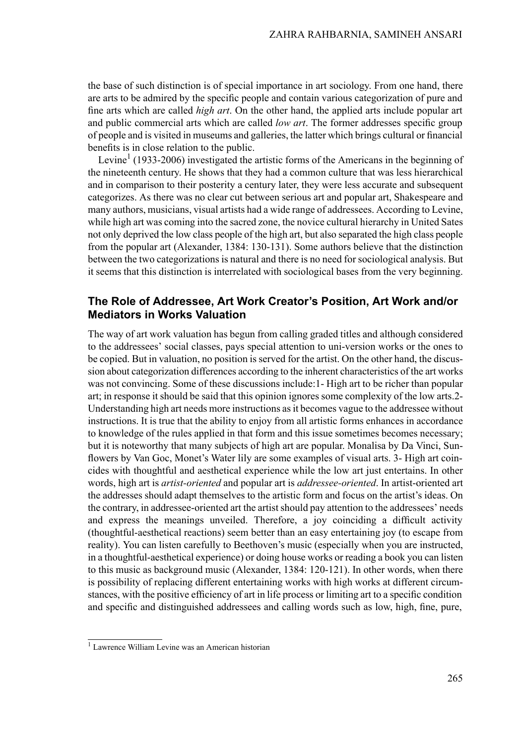the base of such distinction is of special importance in art sociology. From one hand, there are arts to be admired by the specific people and contain various categorization of pure and fine arts which are called *high art*. On the other hand, the applied arts include popular art and public commercial arts which are called *low art*. The former addresses specific group of people and is visited in museums and galleries, the latter which brings cultural orfinancial benefits is in close relation to the public.

Levine<sup>1</sup> (1933-2006) investigated the artistic forms of the Americans in the beginning of the nineteenth century. He shows that they had a common culture that was less hierarchical and in comparison to their posterity a century later, they were less accurate and subsequent categorizes. As there was no clear cut between serious art and popular art, Shakespeare and many authors, musicians, visual artists had a wide range of addressees. According to Levine, while high art was coming into the sacred zone, the novice cultural hierarchy in United Sates not only deprived the low class people of the high art, but also separated the high class people from the popular art (Alexander, 1384: 130-131). Some authors believe that the distinction between the two categorizations is natural and there is no need for sociological analysis. But it seems that this distinction is interrelated with sociological bases from the very beginning.

## **The Role of Addressee, Art Work Creator's Position, Art Work and/or Mediators in Works Valuation**

The way of art work valuation has begun from calling graded titles and although considered to the addressees' social classes, pays special attention to uni-version works or the ones to be copied. But in valuation, no position is served for the artist. On the other hand, the discussion about categorization differences according to the inherent characteristics of the art works was not convincing. Some of these discussions include:1- High art to be richer than popular art; in response it should be said that this opinion ignores some complexity of the low arts.2- Understanding high art needs more instructions asit becomes vague to the addressee without instructions. It is true that the ability to enjoy from all artistic forms enhances in accordance to knowledge of the rules applied in that form and this issue sometimes becomes necessary; but it is noteworthy that many subjects of high art are popular. Monalisa by Da Vinci, Sunflowers by Van Goc, Monet's Water lily are some examples of visual arts. 3- High art coincides with thoughtful and aesthetical experience while the low art just entertains. In other words, high art is *artist-oriented* and popular art is *addressee-oriented*. In artist-oriented art the addresses should adapt themselves to the artistic form and focus on the artist's ideas. On the contrary, in addressee-oriented art the artist should pay attention to the addressees' needs and express the meanings unveiled. Therefore, a joy coinciding a difficult activity (thoughtful-aesthetical reactions) seem better than an easy entertaining joy (to escape from reality). You can listen carefully to Beethoven's music (especially when you are instructed, in a thoughtful-aesthetical experience) or doing house works or reading a book you can listen to this music as background music (Alexander, 1384: 120-121). In other words, when there is possibility of replacing different entertaining works with high works at different circumstances, with the positive efficiency of art in life process or limiting art to a specific condition and specific and distinguished addressees and calling words such as low, high, fine, pure,

<sup>1</sup> Lawrence William Levine was an American historian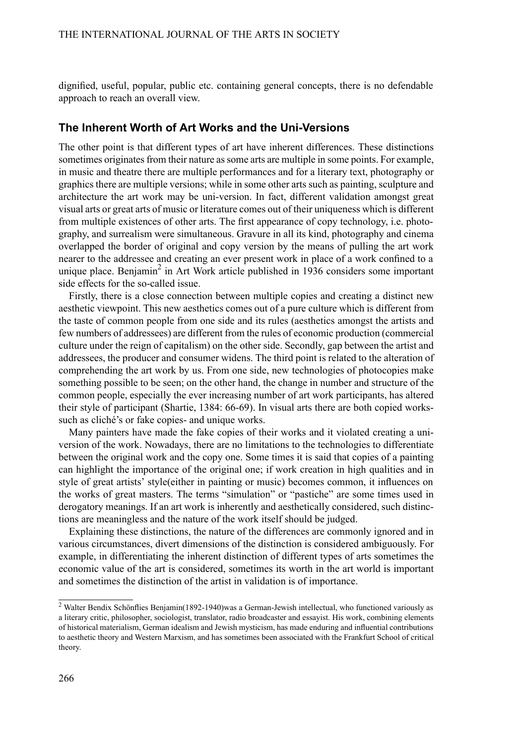dignified, useful, popular, public etc. containing general concepts, there is no defendable approach to reach an overall view.

## **The Inherent Worth of Art Works and the Uni-Versions**

The other point is that different types of art have inherent differences. These distinctions sometimes originates from their nature as some arts are multiple in some points. For example, in music and theatre there are multiple performances and for a literary text, photography or graphics there are multiple versions; while in some other arts such as painting, sculpture and architecture the art work may be uni-version. In fact, different validation amongst great visual arts or great arts of music or literature comes out of their uniqueness which is different from multiple existences of other arts. The first appearance of copy technology, i.e. photography, and surrealism were simultaneous. Gravure in all its kind, photography and cinema overlapped the border of original and copy version by the means of pulling the art work nearer to the addressee and creating an ever present work in place of a work confined to a unique place. Benjamin<sup>2</sup> in Art Work article published in 1936 considers some important side effects for the so-called issue.

Firstly, there is a close connection between multiple copies and creating a distinct new aesthetic viewpoint. This new aesthetics comes out of a pure culture which is different from the taste of common people from one side and its rules (aesthetics amongst the artists and few numbers of addressees) are different from the rules of economic production (commercial culture under the reign of capitalism) on the other side. Secondly, gap between the artist and addressees, the producer and consumer widens. The third point is related to the alteration of comprehending the art work by us. From one side, new technologies of photocopies make something possible to be seen; on the other hand, the change in number and structure of the common people, especially the ever increasing number of art work participants, has altered their style of participant (Shartie, 1384: 66-69). In visual arts there are both copied workssuch as cliché's or fake copies- and unique works.

Many painters have made the fake copies of their works and it violated creating a universion of the work. Nowadays, there are no limitations to the technologies to differentiate between the original work and the copy one. Some times it is said that copies of a painting can highlight the importance of the original one; if work creation in high qualities and in style of great artists' style(either in painting or music) becomes common, it influences on the works of great masters. The terms "simulation" or "pastiche" are some times used in derogatory meanings. If an art work is inherently and aesthetically considered, such distinctions are meaningless and the nature of the work itself should be judged.

Explaining these distinctions, the nature of the differences are commonly ignored and in various circumstances, divert dimensions of the distinction is considered ambiguously. For example, in differentiating the inherent distinction of different types of arts sometimes the economic value of the art is considered, sometimes its worth in the art world is important and sometimes the distinction of the artist in validation is of importance.

<sup>2</sup> Walter Bendix Schönflies Benjamin(1892-1940)was a German-Jewish intellectual, who functioned variously as a literary critic, philosopher, sociologist, translator, radio broadcaster and essayist. His work, combining elements of historical materialism, German idealism and Jewish mysticism, has made enduring and influential contributions to aesthetic theory and Western Marxism, and has sometimes been associated with the Frankfurt School of critical theory.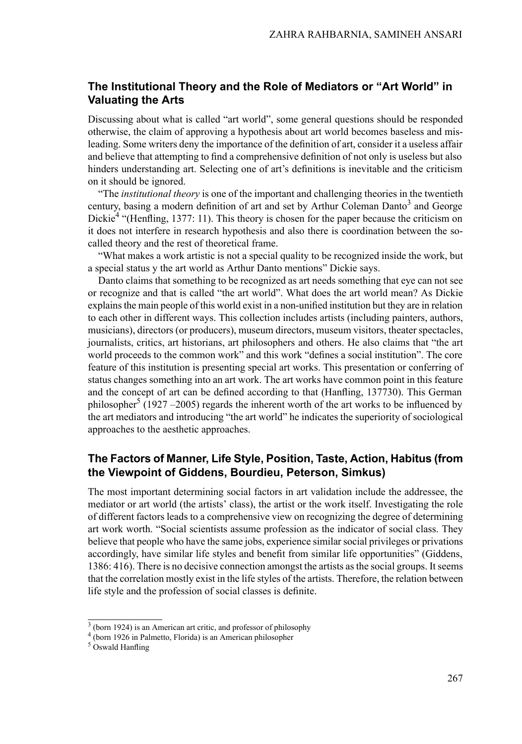## **The Institutional Theory and the Role of Mediators or "Art World" in Valuating the Arts**

Discussing about what is called "art world", some general questions should be responded otherwise, the claim of approving a hypothesis about art world becomes baseless and misleading.Some writers deny the importance of the definition of art, consider it a useless affair and believe that attempting to find a comprehensive definition of not only is useless but also hinders understanding art. Selecting one of art's definitions is inevitable and the criticism on it should be ignored.

"The *institutional theory* is one of the important and challenging theories in the twentieth century, basing a modern definition of art and set by Arthur Coleman Danto<sup>3</sup> and George Dickie<sup>4</sup> "(Henfling, 1377: 11). This theory is chosen for the paper because the criticism on it does not interfere in research hypothesis and also there is coordination between the socalled theory and the rest of theoretical frame.

"What makes a work artistic is not a special quality to be recognized inside the work, but a special status y the art world as Arthur Danto mentions" Dickie says.

Danto claims that something to be recognized as art needs something that eye can not see or recognize and that is called "the art world". What does the art world mean? As Dickie explainsthe main people of this world exist in a non-unified institution but they are in relation to each other in different ways. This collection includes artists (including painters, authors, musicians), directors (or producers), museum directors, museum visitors, theater spectacles, journalists, critics, art historians, art philosophers and others. He also claims that "the art world proceeds to the common work" and this work "defines a social institution". The core feature of this institution is presenting special art works. This presentation or conferring of status changes something into an art work. The art works have common point in this feature and the concept of art can be defined according to that (Hanfling, 137730). This German philosopher<sup>5</sup> (1927 –2005) regards the inherent worth of the art works to be influenced by the art mediators and introducing "the art world" he indicates the superiority of sociological approaches to the aesthetic approaches.

# **The Factors of Manner, Life Style, Position, Taste, Action, Habitus (from the Viewpoint of Giddens, Bourdieu, Peterson, Simkus)**

The most important determining social factors in art validation include the addressee, the mediator or art world (the artists' class), the artist or the work itself. Investigating the role of different factors leads to a comprehensive view on recognizing the degree of determining art work worth. "Social scientists assume profession as the indicator of social class. They believe that people who have the same jobs, experience similarsocial privileges or privations accordingly, have similar life styles and benefit from similar life opportunities" (Giddens, 1386: 416). There is no decisive connection amongst the artists as the social groups. It seems that the correlation mostly exist in the life styles of the artists. Therefore, the relation between life style and the profession of social classes is definite.

<sup>&</sup>lt;sup>3</sup> (born 1924) is an American art critic, and professor of philosophy

<sup>4</sup> (born 1926 in Palmetto, Florida) is an American philosopher

 $5$  Oswald Hanfling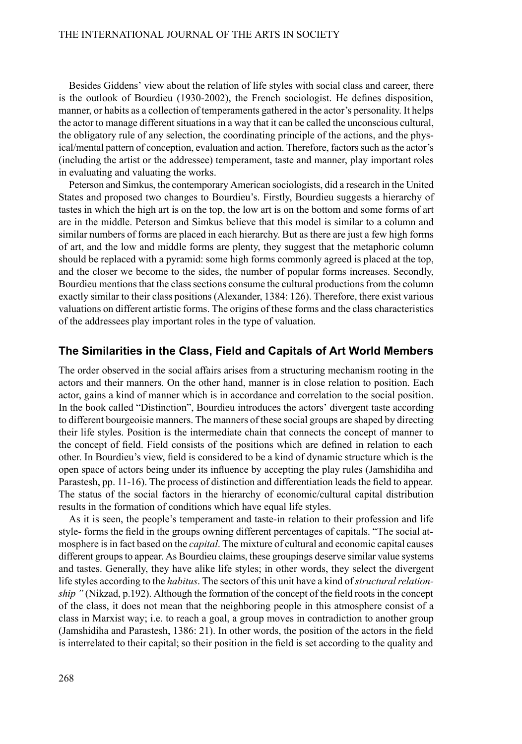Besides Giddens' view about the relation of life styles with social class and career, there is the outlook of Bourdieu (1930-2002), the French sociologist. He defines disposition, manner, or habits as a collection of temperaments gathered in the actor's personality. It helps the actor to manage different situations in a way that it can be called the unconscious cultural, the obligatory rule of any selection, the coordinating principle of the actions, and the physical/mental pattern of conception, evaluation and action. Therefore, factors such as the actor's (including the artist or the addressee) temperament, taste and manner, play important roles in evaluating and valuating the works.

Peterson and Simkus, the contemporary American sociologists, did a research in the United States and proposed two changes to Bourdieu's. Firstly, Bourdieu suggests a hierarchy of tastes in which the high art is on the top, the low art is on the bottom and some forms of art are in the middle. Peterson and Simkus believe that this model is similar to a column and similar numbers of forms are placed in each hierarchy. But as there are just a few high forms of art, and the low and middle forms are plenty, they suggest that the metaphoric column should be replaced with a pyramid: some high forms commonly agreed is placed at the top, and the closer we become to the sides, the number of popular forms increases. Secondly, Bourdieu mentions that the class sections consume the cultural productions from the column exactly similar to their class positions (Alexander, 1384: 126). Therefore, there exist various valuations on different artistic forms. The origins of these forms and the class characteristics of the addressees play important roles in the type of valuation.

### **The Similarities in the Class, Field and Capitals of Art World Members**

The order observed in the social affairs arises from a structuring mechanism rooting in the actors and their manners. On the other hand, manner is in close relation to position. Each actor, gains a kind of manner which is in accordance and correlation to the social position. In the book called "Distinction", Bourdieu introduces the actors' divergent taste according to different bourgeoisie manners. The manners of these social groups are shaped by directing their life styles. Position is the intermediate chain that connects the concept of manner to the concept of field. Field consists of the positions which are defined in relation to each other. In Bourdieu's view, field is considered to be a kind of dynamic structure which is the open space of actors being under its influence by accepting the play rules (Jamshidiha and Parastesh, pp. 11-16). The process of distinction and differentiation leads thefield to appear. The status of the social factors in the hierarchy of economic/cultural capital distribution results in the formation of conditions which have equal life styles.

As it is seen, the people's temperament and taste-in relation to their profession and life style- forms the field in the groups owning different percentages of capitals. "The social atmosphere isin fact based on the *capital*. The mixture of cultural and economic capital causes different groups to appear. As Bourdieu claims, these groupings deserve similar value systems and tastes. Generally, they have alike life styles; in other words, they select the divergent life styles according to the *habitus*. The sectors of this unit have a kind of *structural relationship*" (Nikzad, p.192). Although the formation of the concept of the field roots in the concept of the class, it does not mean that the neighboring people in this atmosphere consist of a class in Marxist way; i.e. to reach a goal, a group moves in contradiction to another group (Jamshidiha and Parastesh, 1386: 21). In other words, the position of the actors in the field is interrelated to their capital; so their position in the field is set according to the quality and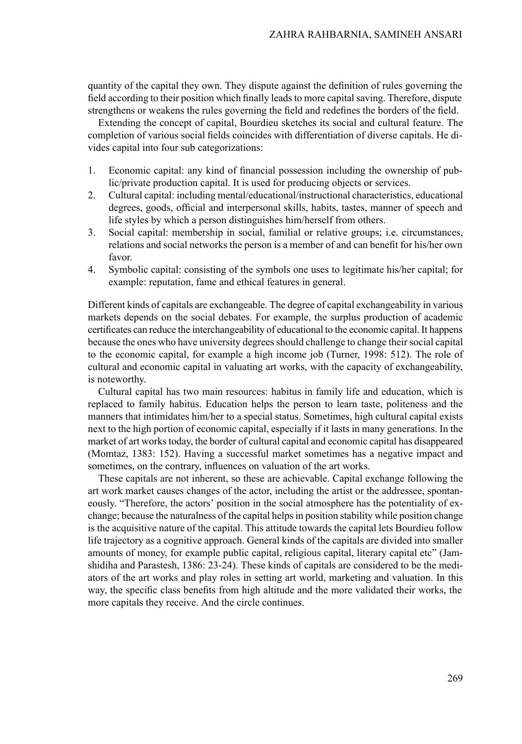quantity of the capital they own. They dispute against the definition of rules governing the field according to their position which finally leads to more capital saving. Therefore, dispute strengthens or weakens the rules governing the field and redefines the borders of the field.

Extending the concept of capital, Bourdieu sketches its social and cultural feature. The completion of various social fields coincides with differentiation of diverse capitals. He divides capital into four sub categorizations:

- 1. Economic capital: any kind of financial possession including the ownership of public/private production capital. It is used for producing objects or services.
- 2. Cultural capital: including mental/educational/instructional characteristics, educational degrees, goods, official and interpersonal skills, habits, tastes, manner of speech and life styles by which a person distinguishes him/herself from others.
- 3. Social capital: membership in social, familial or relative groups; i.e. circumstances, relations and social networks the person is a member of and can benefit for his/her own favor.
- 4. Symbolic capital: consisting of the symbols one uses to legitimate his/her capital; for example: reputation, fame and ethical features in general.

Different kinds of capitals are exchangeable. The degree of capital exchangeability in various markets depends on the social debates. For example, the surplus production of academic certificates can reduce the interchangeability of educational to the economic capital. It happens because the ones who have university degrees should challenge to change their social capital to the economic capital, for example a high income job (Turner, 1998: 512). The role of cultural and economic capital in valuating art works, with the capacity of exchangeability, is noteworthy.

Cultural capital has two main resources: habitus in family life and education, which is replaced to family habitus. Education helps the person to learn taste, politeness and the manners that intimidates him/her to a special status. Sometimes, high cultural capital exists next to the high portion of economic capital, especially if it lasts in many generations. In the market of art works today, the border of cultural capital and economic capital has disappeared (Momtaz, 1383: 152). Having a successful market sometimes has a negative impact and sometimes, on the contrary, influences on valuation of the art works.

These capitals are not inherent, so these are achievable. Capital exchange following the art work market causes changes of the actor, including the artist or the addressee, spontaneously. "Therefore, the actors' position in the social atmosphere has the potentiality of exchange; because the naturalness of the capital helps in position stability while position change is the acquisitive nature of the capital. This attitude towards the capital lets Bourdieu follow life trajectory as a cognitive approach. General kinds of the capitals are divided into smaller amounts of money, for example public capital, religious capital, literary capital etc" (Jamshidiha and Parastesh, 1386: 23-24). These kinds of capitals are considered to be the mediators of the art works and play roles in setting art world, marketing and valuation. In this way, the specific class benefits from high altitude and the more validated their works, the more capitals they receive. And the circle continues.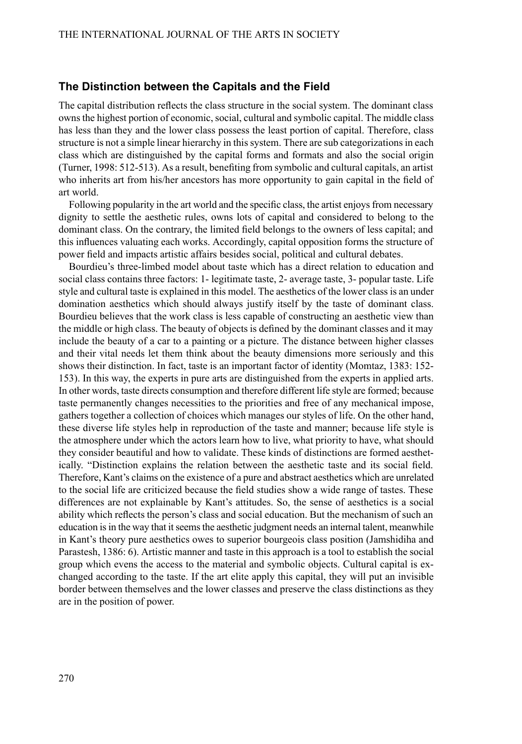#### **The Distinction between the Capitals and the Field**

The capital distribution reflects the class structure in the social system. The dominant class owns the highest portion of economic, social, cultural and symbolic capital. The middle class has less than they and the lower class possess the least portion of capital. Therefore, class structure is not a simple linear hierarchy in this system. There are sub categorizations in each class which are distinguished by the capital forms and formats and also the social origin (Turner, 1998: 512-513). As a result, benefiting from symbolic and cultural capitals, an artist who inherits art from his/her ancestors has more opportunity to gain capital in the field of art world.

Following popularity in the art world and the specific class, the artist enjoys from necessary dignity to settle the aesthetic rules, owns lots of capital and considered to belong to the dominant class. On the contrary, the limited field belongs to the owners of less capital; and this influences valuating each works. Accordingly, capital opposition forms the structure of power field and impacts artistic affairs besides social, political and cultural debates.

Bourdieu's three-limbed model about taste which has a direct relation to education and social class contains three factors: 1- legitimate taste, 2- average taste, 3- popular taste. Life style and cultural taste is explained in this model. The aesthetics of the lower class is an under domination aesthetics which should always justify itself by the taste of dominant class. Bourdieu believes that the work class is less capable of constructing an aesthetic view than the middle or high class. The beauty of objects is defined by the dominant classes and it may include the beauty of a car to a painting or a picture. The distance between higher classes and their vital needs let them think about the beauty dimensions more seriously and this shows their distinction. In fact, taste is an important factor of identity (Momtaz, 1383: 152- 153). In this way, the experts in pure arts are distinguished from the experts in applied arts. In other words, taste directs consumption and therefore different life style are formed; because taste permanently changes necessities to the priorities and free of any mechanical impose, gathers together a collection of choices which manages our styles of life. On the other hand, these diverse life styles help in reproduction of the taste and manner; because life style is the atmosphere under which the actors learn how to live, what priority to have, what should they consider beautiful and how to validate. These kinds of distinctions are formed aesthetically. "Distinction explains the relation between the aesthetic taste and its social field. Therefore, Kant's claims on the existence of a pure and abstract aesthetics which are unrelated to the social life are criticized because the field studies show a wide range of tastes. These differences are not explainable by Kant's attitudes. So, the sense of aesthetics is a social ability which reflects the person's class and social education. But the mechanism of such an education is in the way that it seems the aesthetic judgment needs an internal talent, meanwhile in Kant's theory pure aesthetics owes to superior bourgeois class position (Jamshidiha and Parastesh, 1386: 6). Artistic manner and taste in this approach is a tool to establish the social group which evens the access to the material and symbolic objects. Cultural capital is exchanged according to the taste. If the art elite apply this capital, they will put an invisible border between themselves and the lower classes and preserve the class distinctions as they are in the position of power.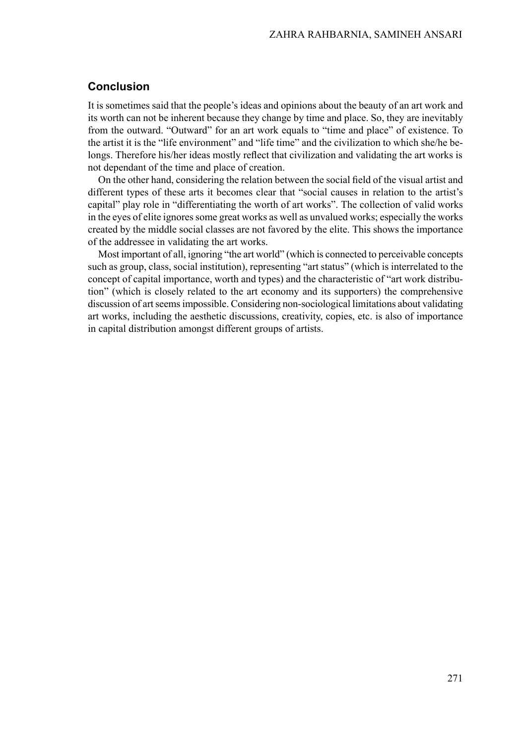## **Conclusion**

It is sometimes said that the people's ideas and opinions about the beauty of an art work and its worth can not be inherent because they change by time and place. So, they are inevitably from the outward. "Outward" for an art work equals to "time and place" of existence. To the artist it is the "life environment" and "life time" and the civilization to which she/he belongs. Therefore his/her ideas mostly reflect that civilization and validating the art works is not dependant of the time and place of creation.

On the other hand, considering the relation between the social field of the visual artist and different types of these arts it becomes clear that "social causes in relation to the artist's capital" play role in "differentiating the worth of art works". The collection of valid works in the eyes of elite ignores some great works as well as unvalued works; especially the works created by the middle social classes are not favored by the elite. This shows the importance of the addressee in validating the art works.

Most important of all, ignoring "the art world" (which is connected to perceivable concepts such as group, class, social institution), representing "art status" (which is interrelated to the concept of capital importance, worth and types) and the characteristic of "art work distribution" (which is closely related to the art economy and its supporters) the comprehensive discussion of artseemsimpossible. Considering non-sociological limitations about validating art works, including the aesthetic discussions, creativity, copies, etc. is also of importance in capital distribution amongst different groups of artists.